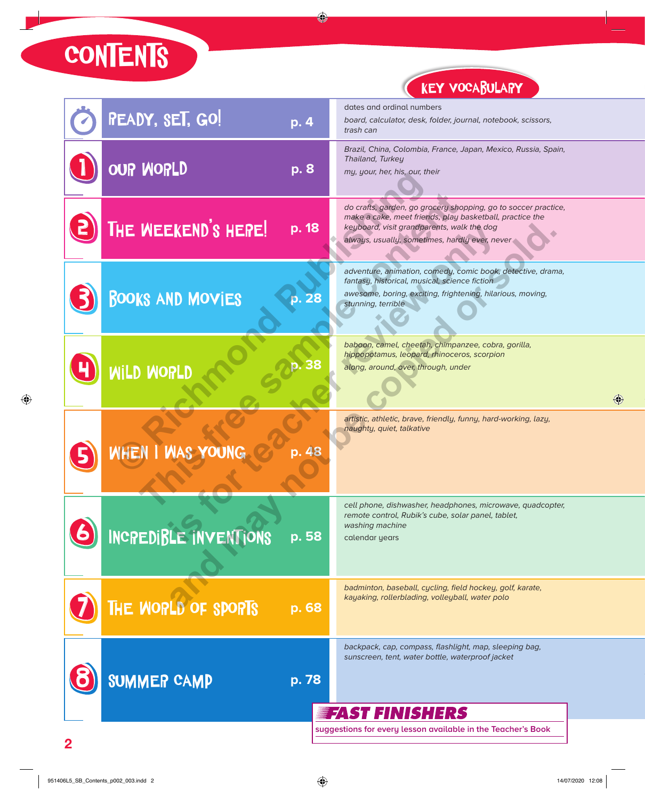CONTENTS

## KEY VOCABULARY

| <b>READY, SET, GO!</b><br>p. 4   |  | dates and ordinal numbers<br>board, calculator, desk, folder, journal, notebook, scissors,<br>trash can                                                                                                                     |  |
|----------------------------------|--|-----------------------------------------------------------------------------------------------------------------------------------------------------------------------------------------------------------------------------|--|
| OUP WORLD<br>p. 8                |  | Brazil, China, Colombia, France, Japan, Mexico, Russia, Spain,<br>Thailand, Turkey<br>my, your, her, his, our, their                                                                                                        |  |
| THE WEEKEND'S HEPE!<br>p. 18     |  | do crafts, garden, go grocery shopping, go to soccer practice,<br>make a cake, meet friends, play basketball, practice the<br>keyboard, visit grandparents, walk the dog<br>always, usually, sometimes, hardly ever, never. |  |
| <b>BOOKS AND MOVIES</b><br>p. 28 |  | adventure, animation, comedy, comic book, detective, drama,<br>fantasy, historical, musical, science fiction<br>awesome, boring, exciting, frightening, hilarious, moving,<br>stunning, terrible                            |  |
| WILD WORLD                       |  | baboon, camel, cheetah, chimpanzee, cobra, gorilla,<br>hippopotamus, leopard, rhinoceros, scorpion<br>along, around, over, through, under                                                                                   |  |
| WHEN I WAS YOUNG<br>p. 48        |  | artistic, athletic, brave, friendly, funny, hard-working, lazy,<br>naughty, quiet, talkative                                                                                                                                |  |
| INCREDIBLE INVENTIONS<br>p. 58   |  | cell phone, dishwasher, headphones, microwave, quadcopter,<br>remote control, Rubik's cube, solar panel, tablet,<br>washing machine<br>calendar years                                                                       |  |
| THE WORLD OF SPORTS<br>p. 68     |  | badminton, baseball, cycling, field hockey, golf, karate,<br>kayaking, rollerblading, volleyball, water polo                                                                                                                |  |
| <b>SUMMER CAMP</b><br>p. 78      |  | backpack, cap, compass, flashlight, map, sleeping bag,<br>sunscreen, tent, water bottle, waterproof jacket                                                                                                                  |  |
|                                  |  | <b>EFAST FINISHERS</b><br>suggestions for every lesson available in the Teacher's Book                                                                                                                                      |  |
|                                  |  |                                                                                                                                                                                                                             |  |